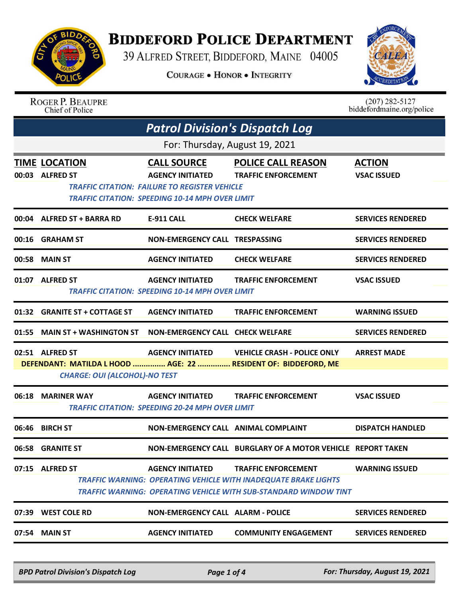

## **BIDDEFORD POLICE DEPARTMENT**

39 ALFRED STREET, BIDDEFORD, MAINE 04005

**COURAGE . HONOR . INTEGRITY** 



| <b>ROGER P. BEAUPRE</b> |
|-------------------------|
| Chief of Police         |

 $(207)$  282-5127<br>biddefordmaine.org/police

|                                | <b>Patrol Division's Dispatch Log</b>                            |                                                                                                                                                                 |                                                                                                                                                                          |                                     |  |
|--------------------------------|------------------------------------------------------------------|-----------------------------------------------------------------------------------------------------------------------------------------------------------------|--------------------------------------------------------------------------------------------------------------------------------------------------------------------------|-------------------------------------|--|
| For: Thursday, August 19, 2021 |                                                                  |                                                                                                                                                                 |                                                                                                                                                                          |                                     |  |
|                                | <b>TIME LOCATION</b><br>00:03 ALFRED ST                          | <b>CALL SOURCE</b><br><b>AGENCY INITIATED</b><br><b>TRAFFIC CITATION: FAILURE TO REGISTER VEHICLE</b><br><b>TRAFFIC CITATION: SPEEDING 10-14 MPH OVER LIMIT</b> | <b>POLICE CALL REASON</b><br><b>TRAFFIC ENFORCEMENT</b>                                                                                                                  | <b>ACTION</b><br><b>VSAC ISSUED</b> |  |
|                                | 00:04 ALFRED ST + BARRA RD                                       | E-911 CALL                                                                                                                                                      | <b>CHECK WELFARE</b>                                                                                                                                                     | <b>SERVICES RENDERED</b>            |  |
|                                | 00:16 GRAHAM ST                                                  | NON-EMERGENCY CALL TRESPASSING                                                                                                                                  |                                                                                                                                                                          | <b>SERVICES RENDERED</b>            |  |
|                                | 00:58 MAIN ST                                                    | <b>AGENCY INITIATED</b>                                                                                                                                         | <b>CHECK WELFARE</b>                                                                                                                                                     | <b>SERVICES RENDERED</b>            |  |
|                                | 01:07 ALFRED ST                                                  | <b>AGENCY INITIATED</b><br><b>TRAFFIC CITATION: SPEEDING 10-14 MPH OVER LIMIT</b>                                                                               | <b>TRAFFIC ENFORCEMENT</b>                                                                                                                                               | <b>VSAC ISSUED</b>                  |  |
|                                | 01:32 GRANITE ST + COTTAGE ST                                    | <b>AGENCY INITIATED</b>                                                                                                                                         | <b>TRAFFIC ENFORCEMENT</b>                                                                                                                                               | <b>WARNING ISSUED</b>               |  |
|                                | 01:55 MAIN ST + WASHINGTON ST  NON-EMERGENCY CALL  CHECK WELFARE |                                                                                                                                                                 |                                                                                                                                                                          | <b>SERVICES RENDERED</b>            |  |
|                                | 02:51 ALFRED ST<br><b>CHARGE: OUI (ALCOHOL)-NO TEST</b>          |                                                                                                                                                                 | AGENCY INITIATED VEHICLE CRASH - POLICE ONLY<br>DEFENDANT: MATILDA L HOOD  AGE: 22  RESIDENT OF: BIDDEFORD, ME                                                           | <b>ARREST MADE</b>                  |  |
|                                | 06:18 MARINER WAY                                                | <b>TRAFFIC CITATION: SPEEDING 20-24 MPH OVER LIMIT</b>                                                                                                          | <b>AGENCY INITIATED TRAFFIC ENFORCEMENT</b>                                                                                                                              | <b>VSAC ISSUED</b>                  |  |
| 06:46                          | <b>BIRCH ST</b>                                                  | NON-EMERGENCY CALL ANIMAL COMPLAINT                                                                                                                             |                                                                                                                                                                          | <b>DISPATCH HANDLED</b>             |  |
|                                | 06:58 GRANITE ST                                                 |                                                                                                                                                                 | NON-EMERGENCY CALL BURGLARY OF A MOTOR VEHICLE REPORT TAKEN                                                                                                              |                                     |  |
|                                | 07:15 ALFRED ST                                                  | <b>AGENCY INITIATED</b>                                                                                                                                         | <b>TRAFFIC ENFORCEMENT</b><br><b>TRAFFIC WARNING: OPERATING VEHICLE WITH INADEQUATE BRAKE LIGHTS</b><br>TRAFFIC WARNING: OPERATING VEHICLE WITH SUB-STANDARD WINDOW TINT | <b>WARNING ISSUED</b>               |  |
|                                | 07:39 WEST COLE RD                                               | <b>NON-EMERGENCY CALL ALARM - POLICE</b>                                                                                                                        |                                                                                                                                                                          | <b>SERVICES RENDERED</b>            |  |
|                                | 07:54 MAIN ST                                                    | <b>AGENCY INITIATED</b>                                                                                                                                         | <b>COMMUNITY ENGAGEMENT</b>                                                                                                                                              | <b>SERVICES RENDERED</b>            |  |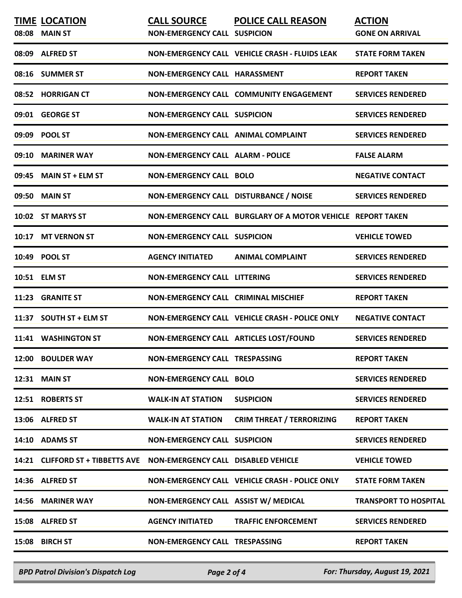| <b>TIME LOCATION</b><br>08:08 MAIN ST                                      | <b>CALL SOURCE</b><br><b>NON-EMERGENCY CALL SUSPICION</b> | <b>POLICE CALL REASON</b>                                   | <b>ACTION</b><br><b>GONE ON ARRIVAL</b> |
|----------------------------------------------------------------------------|-----------------------------------------------------------|-------------------------------------------------------------|-----------------------------------------|
| 08:09 ALFRED ST                                                            |                                                           | <b>NON-EMERGENCY CALL VEHICLE CRASH - FLUIDS LEAK</b>       | <b>STATE FORM TAKEN</b>                 |
| 08:16 SUMMER ST                                                            | <b>NON-EMERGENCY CALL HARASSMENT</b>                      |                                                             | <b>REPORT TAKEN</b>                     |
| 08:52 HORRIGAN CT                                                          |                                                           | NON-EMERGENCY CALL COMMUNITY ENGAGEMENT                     | <b>SERVICES RENDERED</b>                |
| 09:01 GEORGE ST                                                            | <b>NON-EMERGENCY CALL SUSPICION</b>                       |                                                             | <b>SERVICES RENDERED</b>                |
| 09:09 POOL ST                                                              | <b>NON-EMERGENCY CALL ANIMAL COMPLAINT</b>                |                                                             | <b>SERVICES RENDERED</b>                |
| 09:10 MARINER WAY                                                          | <b>NON-EMERGENCY CALL ALARM - POLICE</b>                  |                                                             | <b>FALSE ALARM</b>                      |
| 09:45 MAIN ST + ELM ST                                                     | <b>NON-EMERGENCY CALL BOLO</b>                            |                                                             | <b>NEGATIVE CONTACT</b>                 |
| 09:50 MAIN ST                                                              | NON-EMERGENCY CALL DISTURBANCE / NOISE                    |                                                             | <b>SERVICES RENDERED</b>                |
| 10:02 ST MARYS ST                                                          |                                                           | NON-EMERGENCY CALL BURGLARY OF A MOTOR VEHICLE REPORT TAKEN |                                         |
| 10:17 MT VERNON ST                                                         | <b>NON-EMERGENCY CALL SUSPICION</b>                       |                                                             | <b>VEHICLE TOWED</b>                    |
| 10:49 POOL ST                                                              | <b>AGENCY INITIATED</b>                                   | <b>ANIMAL COMPLAINT</b>                                     | <b>SERVICES RENDERED</b>                |
| 10:51 ELM ST                                                               | <b>NON-EMERGENCY CALL LITTERING</b>                       |                                                             | <b>SERVICES RENDERED</b>                |
| 11:23 GRANITE ST                                                           | <b>NON-EMERGENCY CALL CRIMINAL MISCHIEF</b>               |                                                             | <b>REPORT TAKEN</b>                     |
| 11:37 SOUTH ST + ELM ST                                                    |                                                           | NON-EMERGENCY CALL VEHICLE CRASH - POLICE ONLY              | <b>NEGATIVE CONTACT</b>                 |
| 11:41 WASHINGTON ST                                                        |                                                           | NON-EMERGENCY CALL ARTICLES LOST/FOUND                      | <b>SERVICES RENDERED</b>                |
| 12:00 BOULDER WAY                                                          | NON-EMERGENCY CALL TRESPASSING                            |                                                             | <b>REPORT TAKEN</b>                     |
| <b>12:31 MAIN ST</b>                                                       | <b>NON-EMERGENCY CALL BOLO</b>                            |                                                             | <b>SERVICES RENDERED</b>                |
| 12:51 ROBERTS ST                                                           | <b>WALK-IN AT STATION</b>                                 | <b>SUSPICION</b>                                            | <b>SERVICES RENDERED</b>                |
| 13:06 ALFRED ST                                                            | <b>WALK-IN AT STATION</b>                                 | <b>CRIM THREAT / TERRORIZING</b>                            | <b>REPORT TAKEN</b>                     |
| 14:10 ADAMS ST                                                             | <b>NON-EMERGENCY CALL SUSPICION</b>                       |                                                             | <b>SERVICES RENDERED</b>                |
| 14:21 CLIFFORD ST + TIBBETTS AVE    NON-EMERGENCY CALL    DISABLED VEHICLE |                                                           |                                                             | <b>VEHICLE TOWED</b>                    |
| 14:36 ALFRED ST                                                            |                                                           | NON-EMERGENCY CALL VEHICLE CRASH - POLICE ONLY              | <b>STATE FORM TAKEN</b>                 |
| 14:56 MARINER WAY                                                          | NON-EMERGENCY CALL ASSIST W/ MEDICAL                      |                                                             | <b>TRANSPORT TO HOSPITAL</b>            |
| 15:08 ALFRED ST                                                            | <b>AGENCY INITIATED</b>                                   | <b>TRAFFIC ENFORCEMENT</b>                                  | <b>SERVICES RENDERED</b>                |
| 15:08 BIRCH ST                                                             | NON-EMERGENCY CALL TRESPASSING                            |                                                             | <b>REPORT TAKEN</b>                     |

*BPD Patrol Division's Dispatch Log Page 2 of 4 For: Thursday, August 19, 2021*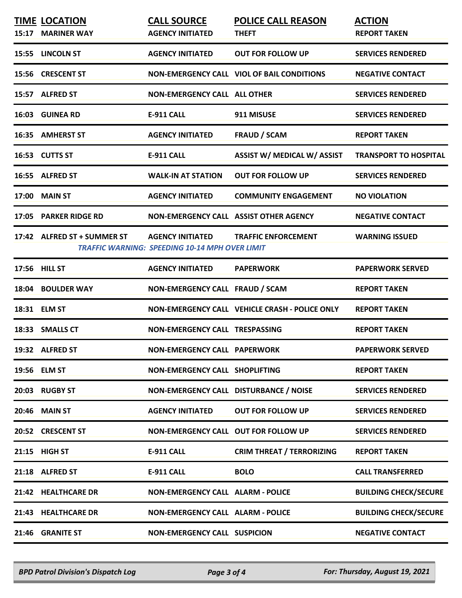|       | <b>TIME LOCATION</b><br>15:17 MARINER WAY | <b>CALL SOURCE</b><br><b>AGENCY INITIATED</b>                                    | <b>POLICE CALL REASON</b><br><b>THEFT</b>      | <b>ACTION</b><br><b>REPORT TAKEN</b> |
|-------|-------------------------------------------|----------------------------------------------------------------------------------|------------------------------------------------|--------------------------------------|
|       | 15:55 LINCOLN ST                          | <b>AGENCY INITIATED</b>                                                          | <b>OUT FOR FOLLOW UP</b>                       | <b>SERVICES RENDERED</b>             |
|       | 15:56 CRESCENT ST                         |                                                                                  | NON-EMERGENCY CALL VIOL OF BAIL CONDITIONS     | <b>NEGATIVE CONTACT</b>              |
|       | 15:57 ALFRED ST                           | <b>NON-EMERGENCY CALL ALL OTHER</b>                                              |                                                | <b>SERVICES RENDERED</b>             |
|       | 16:03 GUINEA RD                           | <b>E-911 CALL</b>                                                                | 911 MISUSE                                     | <b>SERVICES RENDERED</b>             |
|       | 16:35 AMHERST ST                          | <b>AGENCY INITIATED</b>                                                          | <b>FRAUD / SCAM</b>                            | <b>REPORT TAKEN</b>                  |
|       | 16:53 CUTTS ST                            | <b>E-911 CALL</b>                                                                | ASSIST W/ MEDICAL W/ ASSIST                    | <b>TRANSPORT TO HOSPITAL</b>         |
|       | 16:55 ALFRED ST                           | <b>WALK-IN AT STATION</b>                                                        | <b>OUT FOR FOLLOW UP</b>                       | <b>SERVICES RENDERED</b>             |
|       | <b>17:00 MAIN ST</b>                      | <b>AGENCY INITIATED</b>                                                          | <b>COMMUNITY ENGAGEMENT</b>                    | <b>NO VIOLATION</b>                  |
|       | 17:05 PARKER RIDGE RD                     | NON-EMERGENCY CALL ASSIST OTHER AGENCY                                           |                                                | <b>NEGATIVE CONTACT</b>              |
|       | 17:42 ALFRED ST + SUMMER ST               | <b>AGENCY INITIATED</b><br><b>TRAFFIC WARNING: SPEEDING 10-14 MPH OVER LIMIT</b> | <b>TRAFFIC ENFORCEMENT</b>                     | <b>WARNING ISSUED</b>                |
|       | 17:56 HILL ST                             | <b>AGENCY INITIATED</b>                                                          | <b>PAPERWORK</b>                               | <b>PAPERWORK SERVED</b>              |
|       | 18:04 BOULDER WAY                         | NON-EMERGENCY CALL FRAUD / SCAM                                                  |                                                | <b>REPORT TAKEN</b>                  |
|       | 18:31 ELM ST                              |                                                                                  | NON-EMERGENCY CALL VEHICLE CRASH - POLICE ONLY | <b>REPORT TAKEN</b>                  |
|       | 18:33 SMALLS CT                           | NON-EMERGENCY CALL TRESPASSING                                                   |                                                | <b>REPORT TAKEN</b>                  |
|       | 19:32 ALFRED ST                           | <b>NON-EMERGENCY CALL PAPERWORK</b>                                              |                                                | <b>PAPERWORK SERVED</b>              |
|       | 19:56 ELM ST                              | <b>NON-EMERGENCY CALL SHOPLIFTING</b>                                            |                                                | <b>REPORT TAKEN</b>                  |
|       | 20:03 RUGBY ST                            | NON-EMERGENCY CALL DISTURBANCE / NOISE                                           |                                                | <b>SERVICES RENDERED</b>             |
| 20:46 | <b>MAIN ST</b>                            | <b>AGENCY INITIATED</b>                                                          | <b>OUT FOR FOLLOW UP</b>                       | <b>SERVICES RENDERED</b>             |
|       | 20:52 CRESCENT ST                         | NON-EMERGENCY CALL OUT FOR FOLLOW UP                                             |                                                | <b>SERVICES RENDERED</b>             |
|       | 21:15 HIGH ST                             | <b>E-911 CALL</b>                                                                | <b>CRIM THREAT / TERRORIZING</b>               | <b>REPORT TAKEN</b>                  |
|       | 21:18 ALFRED ST                           | <b>E-911 CALL</b>                                                                | <b>BOLO</b>                                    | <b>CALL TRANSFERRED</b>              |
|       | 21:42 HEALTHCARE DR                       | <b>NON-EMERGENCY CALL ALARM - POLICE</b>                                         |                                                | <b>BUILDING CHECK/SECURE</b>         |
|       | 21:43 HEALTHCARE DR                       | <b>NON-EMERGENCY CALL ALARM - POLICE</b>                                         |                                                | <b>BUILDING CHECK/SECURE</b>         |
|       |                                           |                                                                                  |                                                |                                      |
|       | 21:46 GRANITE ST                          | <b>NON-EMERGENCY CALL SUSPICION</b>                                              |                                                | <b>NEGATIVE CONTACT</b>              |